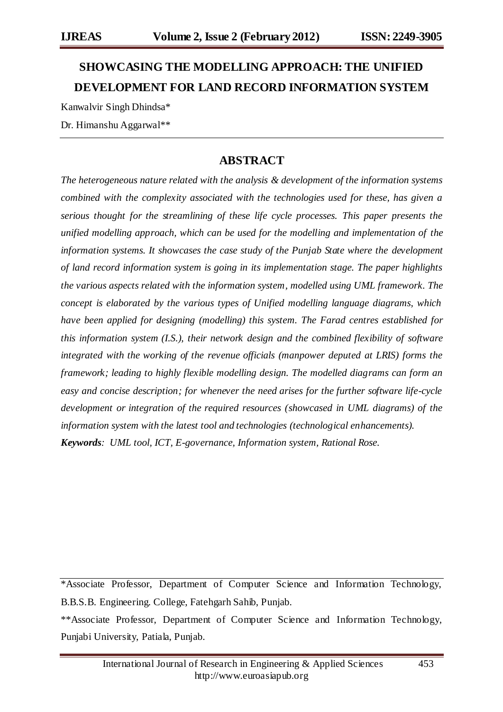# **SHOWCASING THE MODELLING APPROACH: THE UNIFIED DEVELOPMENT FOR LAND RECORD INFORMATION SYSTEM**

Kanwalvir Singh Dhindsa\*

Dr. Himanshu Aggarwal\*\*

# **ABSTRACT**

*The heterogeneous nature related with the analysis & development of the information systems combined with the complexity associated with the technologies used for these, has given a serious thought for the streamlining of these life cycle processes. This paper presents the unified modelling approach, which can be used for the modelling and implementation of the information systems. It showcases the case study of the Punjab State where the development of land record information system is going in its implementation stage. The paper highlights the various aspects related with the information system, modelled using UML framework. The concept is elaborated by the various types of Unified modelling language diagrams, which have been applied for designing (modelling) this system. The Farad centres established for this information system (I.S.), their network design and the combined flexibility of software integrated with the working of the revenue officials (manpower deputed at LRIS) forms the framework; leading to highly flexible modelling design. The modelled diagrams can form an easy and concise description; for whenever the need arises for the further software life-cycle development or integration of the required resources (showcased in UML diagrams) of the information system with the latest tool and technologies (technological enhancements). Keywords: UML tool, ICT, E-governance, Information system, Rational Rose.*

\*Associate Professor, Department of Computer Science and Information Technology, B.B.S.B. Engineering. College, Fatehgarh Sahib, Punjab.

<sup>\*\*</sup>Associate Professor, Department of Computer Science and Information Technology, Punjabi University, Patiala, Punjab.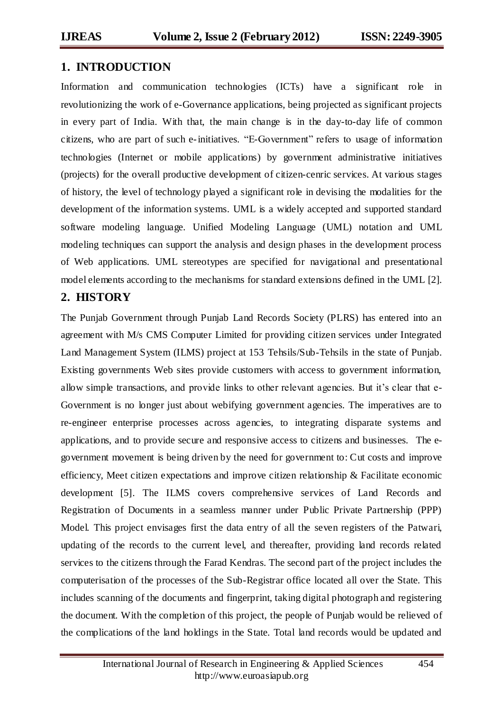## **1. INTRODUCTION**

Information and communication technologies (ICTs) have a significant role in revolutionizing the work of e-Governance applications, being projected as significant projects in every part of India. With that, the main change is in the day-to-day life of common citizens, who are part of such e-initiatives. "E-Government" refers to usage of information technologies (Internet or mobile applications) by government administrative initiatives (projects) for the overall productive development of citizen-cenric services. At various stages of history, the level of technology played a significant role in devising the modalities for the development of the information systems. UML is a widely accepted and supported standard software modeling language. Unified Modeling Language (UML) notation and UML modeling techniques can support the analysis and design phases in the development process of Web applications. UML stereotypes are specified for navigational and presentational model elements according to the mechanisms for standard extensions defined in the UML [2].

# **2. HISTORY**

The Punjab Government through Punjab Land Records Society (PLRS) has entered into an agreement with M/s CMS Computer Limited for providing citizen services under Integrated Land Management System (ILMS) project at 153 Tehsils/Sub-Tehsils in the state of Punjab. Existing governments Web sites provide customers with access to government information, allow simple transactions, and provide links to other relevant agencies. But it's clear that e-Government is no longer just about webifying government agencies. The imperatives are to re-engineer enterprise processes across agencies, to integrating disparate systems and applications, and to provide secure and responsive access to citizens and businesses. The egovernment movement is being driven by the need for government to: Cut costs and improve efficiency, Meet citizen expectations and improve citizen relationship & Facilitate economic development [5]. The ILMS covers comprehensive services of Land Records and Registration of Documents in a seamless manner under Public Private Partnership (PPP) Model. This project envisages first the data entry of all the seven registers of the Patwari, updating of the records to the current level, and thereafter, providing land records related services to the citizens through the Farad Kendras. The second part of the project includes the computerisation of the processes of the Sub-Registrar office located all over the State. This includes scanning of the documents and fingerprint, taking digital photograph and registering the document. With the completion of this project, the people of Punjab would be relieved of the complications of the land holdings in the State. Total land records would be updated and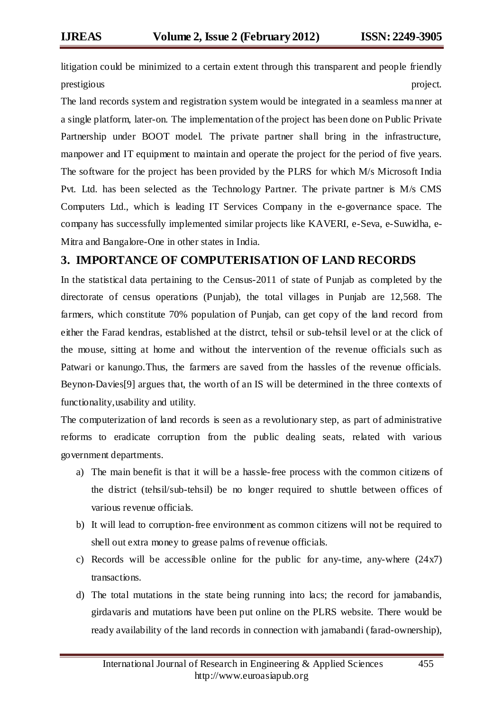litigation could be minimized to a certain extent through this transparent and people friendly prestigious project.

The land records system and registration system would be integrated in a seamless manner at a single platform, later-on. The implementation of the project has been done on Public Private Partnership under BOOT model. The private partner shall bring in the infrastructure, manpower and IT equipment to maintain and operate the project for the period of five years. The software for the project has been provided by the PLRS for which M/s Microsoft India Pvt. Ltd. has been selected as the Technology Partner. The private partner is M/s CMS Computers Ltd., which is leading IT Services Company in the e-governance space. The company has successfully implemented similar projects like KAVERI, e-Seva, e-Suwidha, e-Mitra and Bangalore-One in other states in India.

## **3. IMPORTANCE OF COMPUTERISATION OF LAND RECORDS**

In the statistical data pertaining to the Census-2011 of state of Punjab as completed by the directorate of census operations (Punjab), the total villages in Punjab are 12,568. The farmers, which constitute 70% population of Punjab, can get copy of the land record from either the Farad kendras, established at the distrct, tehsil or sub-tehsil level or at the click of the mouse, sitting at home and without the intervention of the revenue officials such as Patwari or kanungo.Thus, the farmers are saved from the hassles of the revenue officials. Beynon-Davies[9] argues that, the worth of an IS will be determined in the three contexts of functionality,usability and utility.

The computerization of land records is seen as a revolutionary step, as part of administrative reforms to eradicate corruption from the public dealing seats, related with various government departments.

- a) The main benefit is that it will be a hassle-free process with the common citizens of the district (tehsil/sub-tehsil) be no longer required to shuttle between offices of various revenue officials.
- b) It will lead to corruption-free environment as common citizens will not be required to shell out extra money to grease palms of revenue officials.
- c) Records will be accessible online for the public for any-time, any-where  $(24x7)$ transactions.
- d) The total mutations in the state being running into lacs; the record for jamabandis, girdavaris and mutations have been put online on the PLRS website. There would be ready availability of the land records in connection with jamabandi (farad-ownership),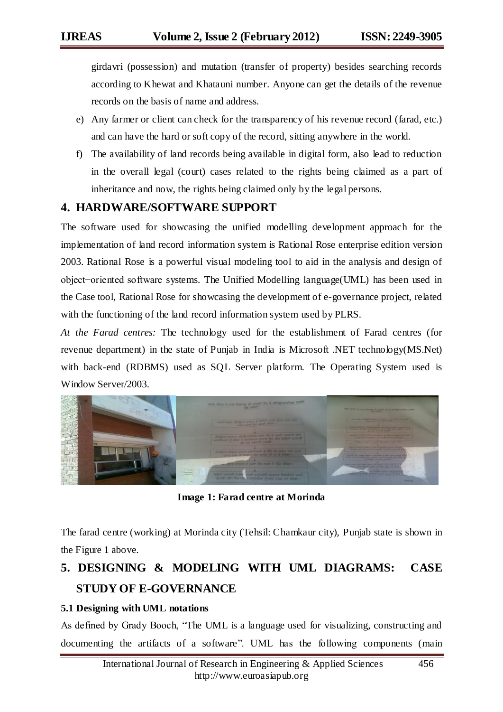girdavri (possession) and mutation (transfer of property) besides searching records according to Khewat and Khatauni number. Anyone can get the details of the revenue records on the basis of name and address.

- e) Any farmer or client can check for the transparency of his revenue record (farad, etc.) and can have the hard or soft copy of the record, sitting anywhere in the world.
- f) The availability of land records being available in digital form, also lead to reduction in the overall legal (court) cases related to the rights being claimed as a part of inheritance and now, the rights being claimed only by the legal persons.

# **4. HARDWARE/SOFTWARE SUPPORT**

The software used for showcasing the unified modelling development approach for the implementation of land record information system is Rational Rose enterprise edition version 2003. Rational Rose is a powerful visual modeling tool to aid in the analysis and design of object−oriented software systems. The Unified Modelling language(UML) has been used in the Case tool, Rational Rose for showcasing the development of e-governance project, related with the functioning of the land record information system used by PLRS.

*At the Farad centres:* The technology used for the establishment of Farad centres (for revenue department) in the state of Punjab in India is Microsoft .NET technology(MS.Net) with back-end (RDBMS) used as SQL Server platform. The Operating System used is Window Server/2003.



**Image 1: Farad centre at Morinda**

The farad centre (working) at Morinda city (Tehsil: Chamkaur city), Punjab state is shown in the Figure 1 above.

# **5. DESIGNING & MODELING WITH UML DIAGRAMS: CASE STUDY OF E-GOVERNANCE**

## **5.1 Designing with UML notations**

As defined by Grady Booch, "The UML is a language used for visualizing, constructing and documenting the artifacts of a software". UML has the following components (main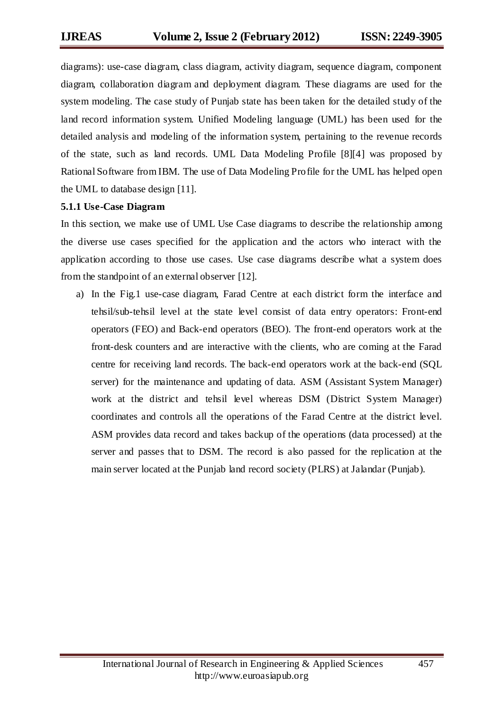diagrams): use-case diagram, class diagram, activity diagram, sequence diagram, component diagram, collaboration diagram and deployment diagram. These diagrams are used for the system modeling. The case study of Punjab state has been taken for the detailed study of the land record information system. Unified Modeling language (UML) has been used for the detailed analysis and modeling of the information system, pertaining to the revenue records of the state, such as land records. UML Data Modeling Profile [8][4] was proposed by Rational Software from IBM. The use of Data Modeling Profile for the UML has helped open the UML to database design [11].

#### **5.1.1 Use-Case Diagram**

In this section, we make use of UML Use Case diagrams to describe the relationship among the diverse use cases specified for the application and the actors who interact with the application according to those use cases. Use case diagrams describe what a system does from the standpoint of an external observer [12].

a) In the Fig.1 use-case diagram, Farad Centre at each district form the interface and tehsil/sub-tehsil level at the state level consist of data entry operators: Front-end operators (FEO) and Back-end operators (BEO). The front-end operators work at the front-desk counters and are interactive with the clients, who are coming at the Farad centre for receiving land records. The back-end operators work at the back-end (SQL server) for the maintenance and updating of data. ASM (Assistant System Manager) work at the district and tehsil level whereas DSM (District System Manager) coordinates and controls all the operations of the Farad Centre at the district level. ASM provides data record and takes backup of the operations (data processed) at the server and passes that to DSM. The record is also passed for the replication at the main server located at the Punjab land record society (PLRS) at Jalandar (Punjab).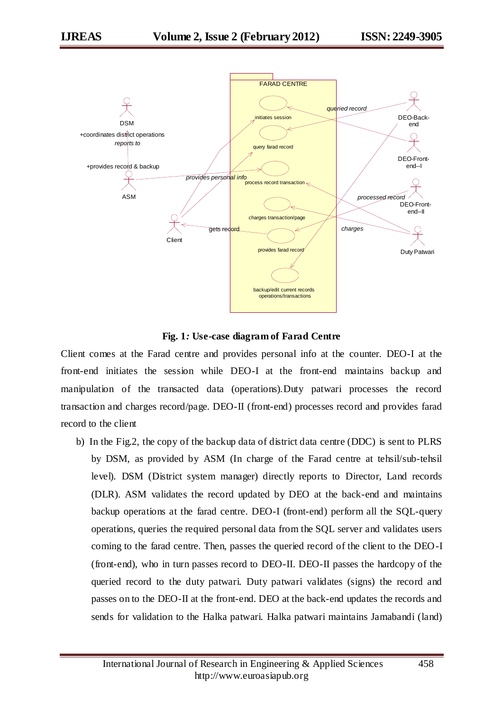

**Fig. 1***:* **Use-case diagram of Farad Centre**

Client comes at the Farad centre and provides personal info at the counter. DEO-I at the front-end initiates the session while DEO-I at the front-end maintains backup and manipulation of the transacted data (operations).Duty patwari processes the record transaction and charges record/page. DEO-II (front-end) processes record and provides farad record to the client

b) In the Fig.2, the copy of the backup data of district data centre (DDC) is sent to PLRS by DSM, as provided by ASM (In charge of the Farad centre at tehsil/sub-tehsil level). DSM (District system manager) directly reports to Director, Land records (DLR). ASM validates the record updated by DEO at the back-end and maintains backup operations at the farad centre. DEO-I (front-end) perform all the SQL-query operations, queries the required personal data from the SQL server and validates users coming to the farad centre. Then, passes the queried record of the client to the DEO-I (front-end), who in turn passes record to DEO-II. DEO-II passes the hardcopy of the queried record to the duty patwari. Duty patwari validates (signs) the record and passes on to the DEO-II at the front-end. DEO at the back-end updates the records and sends for validation to the Halka patwari. Halka patwari maintains Jamabandi (land)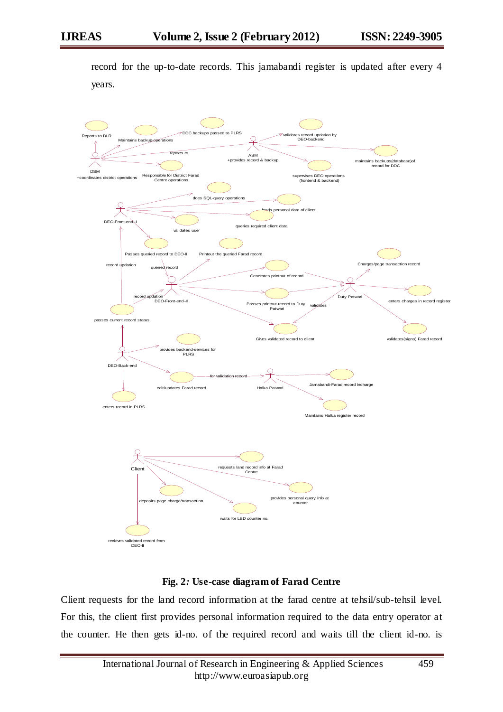record for the up-to-date records. This jamabandi register is updated after every 4 years.



#### **Fig. 2***:* **Use-case diagram of Farad Centre**

Client requests for the land record information at the farad centre at tehsil/sub-tehsil level. For this, the client first provides personal information required to the data entry operator at the counter. He then gets id-no. of the required record and waits till the client id-no. is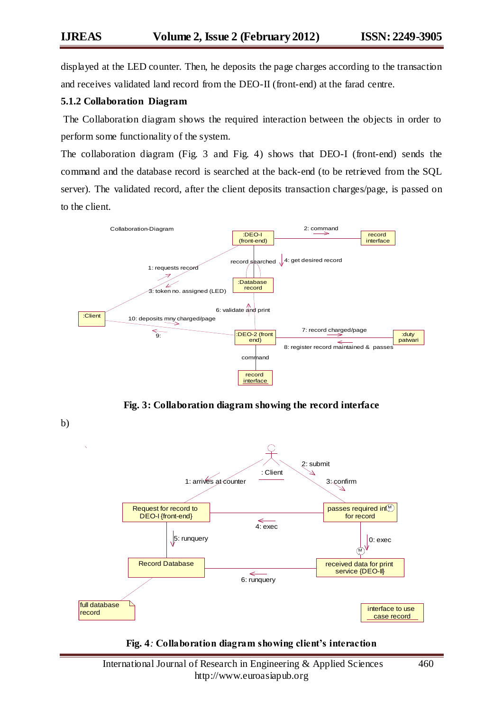displayed at the LED counter. Then, he deposits the page charges according to the transaction and receives validated land record from the DEO-II (front-end) at the farad centre.

## **5.1.2 Collaboration Diagram**

The Collaboration diagram shows the required interaction between the objects in order to perform some functionality of the system.

The collaboration diagram (Fig. 3 and Fig. 4) shows that DEO-I (front-end) sends the command and the database record is searched at the back-end (to be retrieved from the SQL server). The validated record, after the client deposits transaction charges/page, is passed on to the client.



**Fig. 3: Collaboration diagram showing the record interface**



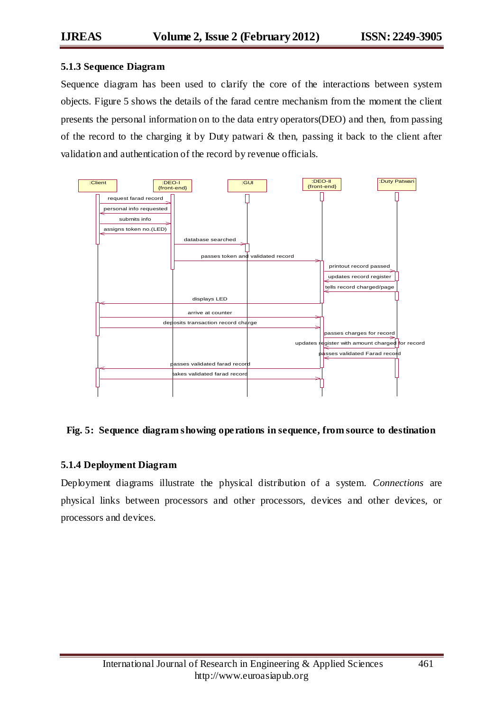#### **5.1.3 Sequence Diagram**

Sequence diagram has been used to clarify the core of the interactions between system objects. Figure 5 shows the details of the farad centre mechanism from the moment the client presents the personal information on to the data entry operators(DEO) and then, from passing of the record to the charging it by Duty patwari & then, passing it back to the client after validation and authentication of the record by revenue officials.



## **Fig. 5: Sequence diagram showing operations in sequence, from source to destination**

#### **5.1.4 Deployment Diagram**

Deployment diagrams illustrate the physical distribution of a system. *Connections* are physical links between processors and other processors, devices and other devices, or processors and devices.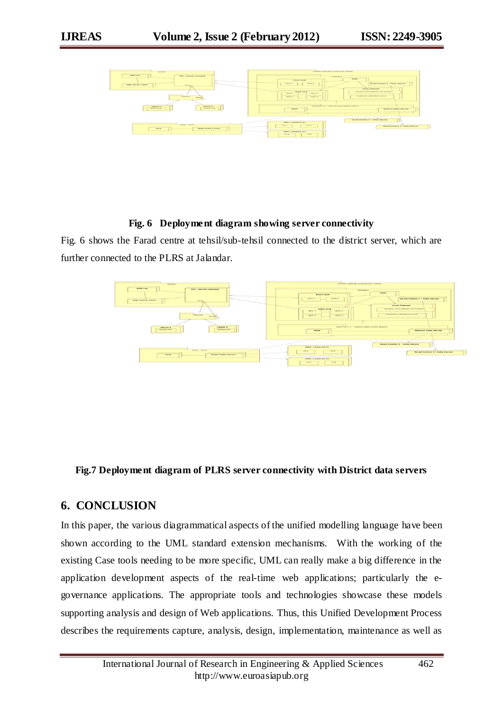

#### **Fig. 6 Deployment diagram showing server connectivity**

Fig. 6 shows the Farad centre at tehsil/sub-tehsil connected to the district server, which are further connected to the PLRS at Jalandar.



## **Fig.7 Deployment diagram of PLRS server connectivity with District data servers**

## **6. CONCLUSION**

In this paper, the various diagrammatical aspects of the unified modelling language have been shown according to the UML standard extension mechanisms. With the working of the existing Case tools needing to be more specific, UML can really make a big difference in the application development aspects of the real-time web applications; particularly the egovernance applications. The appropriate tools and technologies showcase these models supporting analysis and design of Web applications. Thus, this Unified Development Process describes the requirements capture, analysis, design, implementation, maintenance as well as